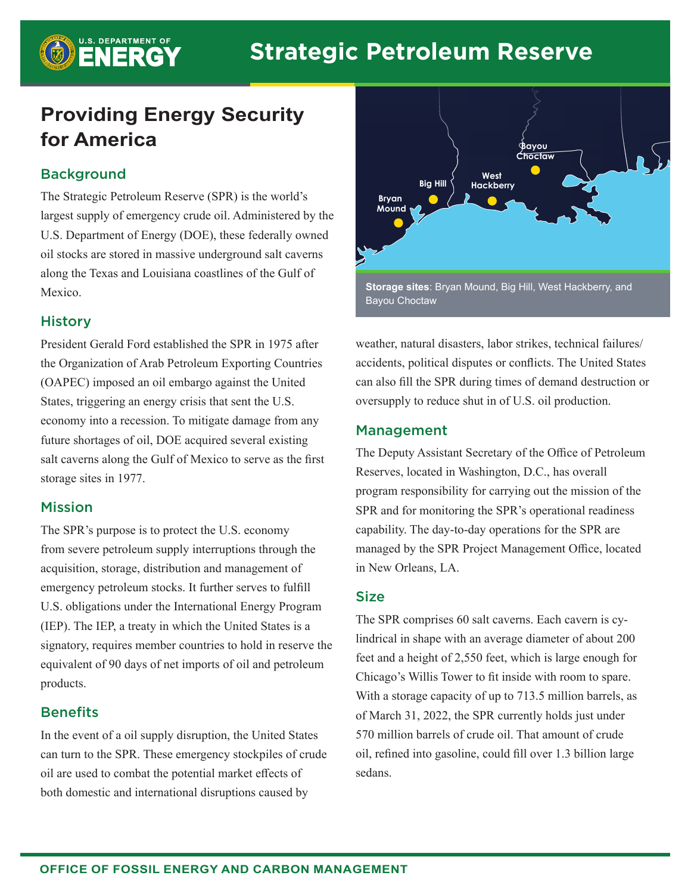# **Providing Energy Security for America**

# **Background**

**B** U.S. DEPARTMENT OF

The Strategic Petroleum Reserve (SPR) is the world's largest supply of emergency crude oil. Administered by the U.S. Department of Energy (DOE), these federally owned oil stocks are stored in massive underground salt caverns along the Texas and Louisiana coastlines of the Gulf of Mexico.

## **History**

President Gerald Ford established the SPR in 1975 after the Organization of Arab Petroleum Exporting Countries (OAPEC) imposed an oil embargo against the United States, triggering an energy crisis that sent the U.S. economy into a recession. To mitigate damage from any future shortages of oil, DOE acquired several existing salt caverns along the Gulf of Mexico to serve as the first storage sites in 1977.

## Mission

The SPR's purpose is to protect the U.S. economy from severe petroleum supply interruptions through the acquisition, storage, distribution and management of emergency petroleum stocks. It further serves to fulfill U.S. obligations under the International Energy Program (IEP). The IEP, a treaty in which the United States is a signatory, requires member countries to hold in reserve the equivalent of 90 days of net imports of oil and petroleum products.

# **Benefits**

In the event of a oil supply disruption, the United States can turn to the SPR. These emergency stockpiles of crude oil are used to combat the potential market effects of both domestic and international disruptions caused by



**Storage sites**: Bryan Mound, Big Hill, West Hackberry, and Bayou Choctaw

weather, natural disasters, labor strikes, technical failures/ accidents, political disputes or conflicts. The United States can also fill the SPR during times of demand destruction or oversupply to reduce shut in of U.S. oil production.

## Management

The Deputy Assistant Secretary of the Office of Petroleum Reserves, located in Washington, D.C., has overall program responsibility for carrying out the mission of the SPR and for monitoring the SPR's operational readiness capability. The day-to-day operations for the SPR are managed by the SPR Project Management Office, located in New Orleans, LA.

## **Size**

The SPR comprises 60 salt caverns. Each cavern is cylindrical in shape with an average diameter of about 200 feet and a height of 2,550 feet, which is large enough for Chicago's Willis Tower to fit inside with room to spare. With a storage capacity of up to 713.5 million barrels, as of March 31, 2022, the SPR currently holds just under 570 million barrels of crude oil. That amount of crude oil, refined into gasoline, could fill over 1.3 billion large sedans.